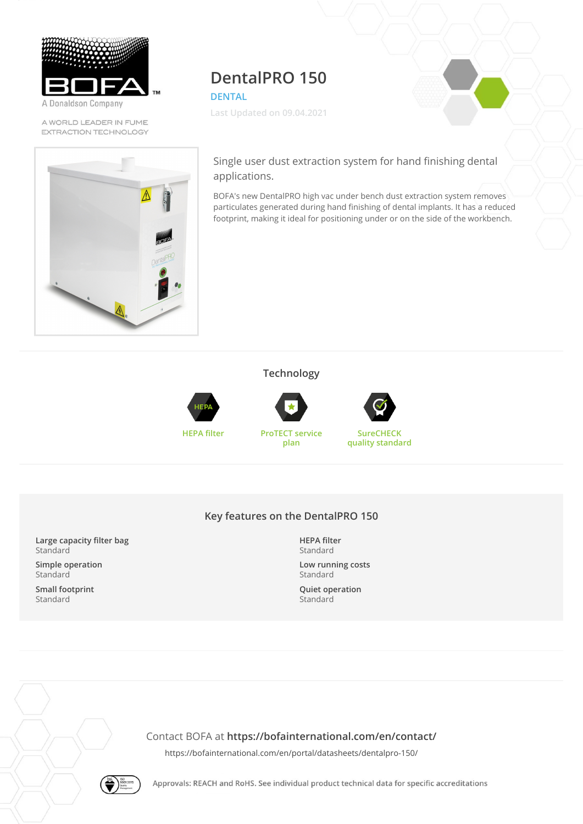

A Donaldson Company

A WORLD LEADER IN FUME EXTRACTION TECHNOLOGY

# **DentalPRO 150**

**DENTAL**

**Last Updated on 09.04.2021**

Single user dust extraction system for hand finishing dental applications.

BOFA's new DentalPRO high vac under bench dust extraction system removes particulates generated during hand finishing of dental implants. It has a reduced footprint, making it ideal for positioning under or on the side of the workbench.

### **Technology**





**HEPA filter ProTECT service plan**



**SureCHECK quality standard**

#### **Key features on the DentalPRO 150**

**Large capacity filter bag** Standard

**Simple operation** Standard

**Small footprint** Standard

**HEPA filter** Standard

**Low running costs** Standard

**Quiet operation** Standard

Contact BOFA at **<https://bofainternational.com/en/contact/>**

<https://bofainternational.com/en/portal/datasheets/dentalpro-150/>



Approvals: REACH and RoHS. See individual product technical data for specific accreditations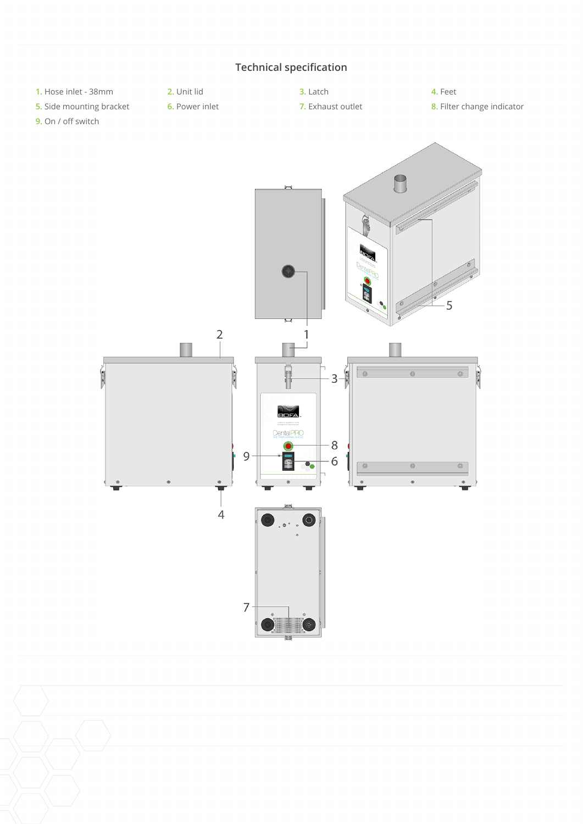

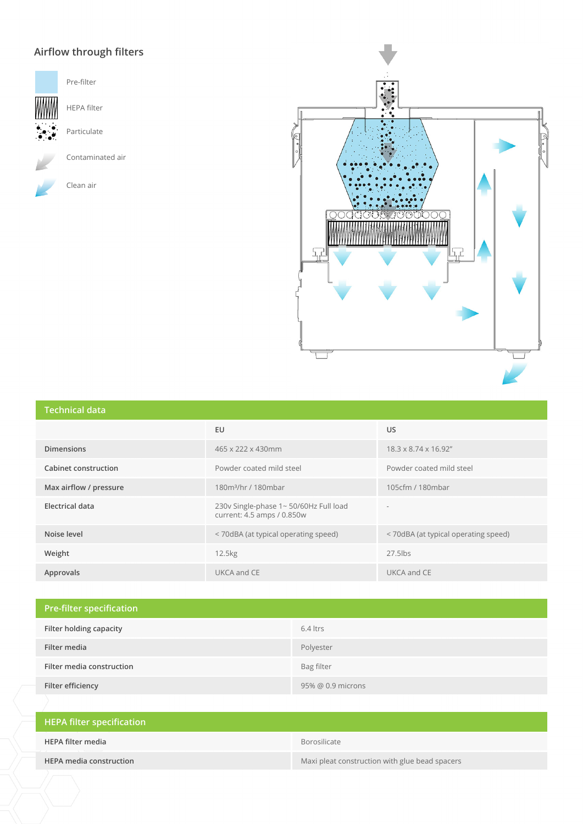## **Airflow through filters**



Pre-filter

HEPA filter

Particulate

Contaminated air

Clean air



#### **Technical data**

| 19911119919999         |                                                                     |                                      |  |  |
|------------------------|---------------------------------------------------------------------|--------------------------------------|--|--|
|                        | EU                                                                  | US.                                  |  |  |
| <b>Dimensions</b>      | 465 x 222 x 430mm                                                   | 18.3 x 8.74 x 16.92"                 |  |  |
| Cabinet construction   | Powder coated mild steel                                            | Powder coated mild steel             |  |  |
| Max airflow / pressure | 180m <sup>3</sup> /hr / 180mbar                                     | 105cfm / 180mbar                     |  |  |
| Electrical data        | 230v Single-phase 1~50/60Hz Full load<br>current: 4.5 amps / 0.850w |                                      |  |  |
| Noise level            | < 70dBA (at typical operating speed)                                | < 70dBA (at typical operating speed) |  |  |
| Weight                 | 12.5kg                                                              | $27.5$ lbs                           |  |  |
| Approvals              | UKCA and CE                                                         | UKCA and CE                          |  |  |

| <b>Pre-filter specification</b> |                   |
|---------------------------------|-------------------|
| Filter holding capacity         | $6.4$ ltrs        |
| Filter media                    | Polyester         |
| Filter media construction       | Bag filter        |
| Filter efficiency               | 95% @ 0.9 microns |

| HEPA filter specification      |                                                |
|--------------------------------|------------------------------------------------|
| HEPA filter media              | Borosilicate                                   |
| <b>HEPA media construction</b> | Maxi pleat construction with glue bead spacers |